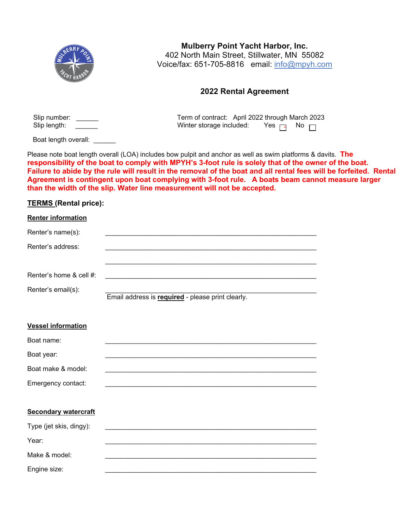

**Mulberry Point Yacht Harbor, Inc.** 402 North Main Street, Stillwater, MN 55082 Voice/fax: 651-705-8816 email: info@mpyh.com

## **2022 Rental Agreement**

Term of contract: April 2022 through March 2023

j j

| Slip number: | Term of contract: April 2022 through Marc |                     |  |
|--------------|-------------------------------------------|---------------------|--|
| Slip length: | Winter storage included:                  | Yes <sub>⊟</sub> No |  |

Boat length overall:

Please note boat length overall (LOA) includes bow pulpit and anchor as well as swim platforms & davits. **The**  j j**responsibility of the boat to comply with MPYH's 3-foot rule is solely that of the owner of the boat. Failure to abide by the rule will result in the removal of the boat and all rental fees will be forfeited. Rental Agreement is contingent upon boat complying with 3-foot rule. A boats beam cannot measure larger than the width of the slip. Water line measurement will not be accepted.** 

## **TERMS (Rental price):**

| <b>Renter information</b>   |                                                          |
|-----------------------------|----------------------------------------------------------|
| Renter's name(s):           |                                                          |
| Renter's address:           |                                                          |
| Renter's home & cell #:     |                                                          |
| Renter's email(s):          | Email address is <b>required</b> - please print clearly. |
| <b>Vessel information</b>   |                                                          |
| Boat name:                  |                                                          |
| Boat year:                  |                                                          |
| Boat make & model:          |                                                          |
| Emergency contact:          |                                                          |
| <b>Secondary watercraft</b> |                                                          |

| Type (jet skis, dingy): |  |
|-------------------------|--|
| Year:                   |  |
| Make & model:           |  |
| Engine size:            |  |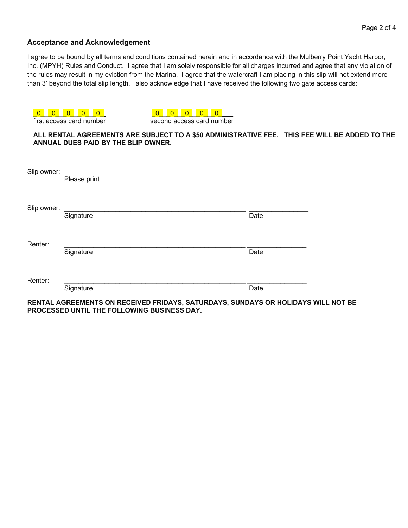## **Acceptance and Acknowledgement**

I agree to be bound by all terms and conditions contained herein and in accordance with the Mulberry Point Yacht Harbor, Inc. (MPYH) Rules and Conduct. I agree that I am solely responsible for all charges incurred and agree that any violation of the rules may result in my eviction from the Marina. I agree that the watercraft I am placing in this slip will not extend more than 3' beyond the total slip length. I also acknowledge that I have received the following two gate access cards:

|             | first access card number            | second access card number                                                                     |      |  |
|-------------|-------------------------------------|-----------------------------------------------------------------------------------------------|------|--|
|             | ANNUAL DUES PAID BY THE SLIP OWNER. | ALL RENTAL AGREEMENTS ARE SUBJECT TO A \$50 ADMINISTRATIVE FEE. THIS FEE WILL BE ADDED TO THE |      |  |
| Slip owner: | Please print                        |                                                                                               |      |  |
| Slip owner: | Signature                           |                                                                                               | Date |  |
| Renter:     | Signature                           |                                                                                               | Date |  |
| Renter:     | Signature                           |                                                                                               | Date |  |

**RENTAL AGREEMENTS ON RECEIVED FRIDAYS, SATURDAYS, SUNDAYS OR HOLIDAYS WILL NOT BE PROCESSED UNTIL THE FOLLOWING BUSINESS DAY.**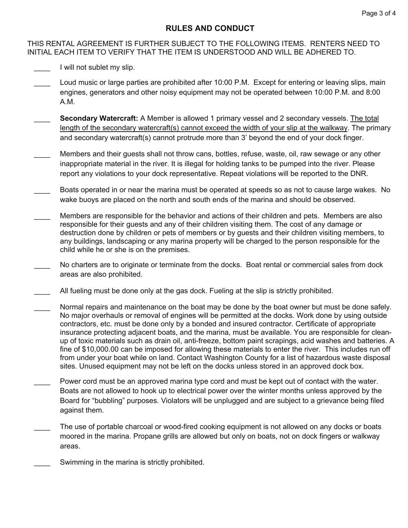## **RULES AND CONDUCT**

THIS RENTAL AGREEMENT IS FURTHER SUBJECT TO THE FOLLOWING ITEMS. RENTERS NEED TO INITIAL EACH ITEM TO VERIFY THAT THE ITEM IS UNDERSTOOD AND WILL BE ADHERED TO.

- I will not sublet my slip.
- Loud music or large parties are prohibited after 10:00 P.M. Except for entering or leaving slips, main engines, generators and other noisy equipment may not be operated between 10:00 P.M. and 8:00 A.M.
- **Secondary Watercraft:** A Member is allowed 1 primary vessel and 2 secondary vessels. The total length of the secondary watercraft(s) cannot exceed the width of your slip at the walkway. The primary and secondary watercraft(s) cannot protrude more than 3' beyond the end of your dock finger.
- Members and their guests shall not throw cans, bottles, refuse, waste, oil, raw sewage or any other inappropriate material in the river. It is illegal for holding tanks to be pumped into the river. Please report any violations to your dock representative. Repeat violations will be reported to the DNR.
- Boats operated in or near the marina must be operated at speeds so as not to cause large wakes. No wake buoys are placed on the north and south ends of the marina and should be observed.
- Members are responsible for the behavior and actions of their children and pets. Members are also responsible for their guests and any of their children visiting them. The cost of any damage or destruction done by children or pets of members or by guests and their children visiting members, to any buildings, landscaping or any marina property will be charged to the person responsible for the child while he or she is on the premises.
- No charters are to originate or terminate from the docks. Boat rental or commercial sales from dock areas are also prohibited.
- All fueling must be done only at the gas dock. Fueling at the slip is strictly prohibited.
- Normal repairs and maintenance on the boat may be done by the boat owner but must be done safely. No major overhauls or removal of engines will be permitted at the docks. Work done by using outside contractors, etc. must be done only by a bonded and insured contractor. Certificate of appropriate insurance protecting adjacent boats, and the marina, must be available. You are responsible for cleanup of toxic materials such as drain oil, anti-freeze, bottom paint scrapings, acid washes and batteries. A fine of \$10,000.00 can be imposed for allowing these materials to enter the river. This includes run off from under your boat while on land. Contact Washington County for a list of hazardous waste disposal sites. Unused equipment may not be left on the docks unless stored in an approved dock box.
- Power cord must be an approved marina type cord and must be kept out of contact with the water. Boats are not allowed to hook up to electrical power over the winter months unless approved by the Board for "bubbling" purposes. Violators will be unplugged and are subject to a grievance being filed against them.
- The use of portable charcoal or wood-fired cooking equipment is not allowed on any docks or boats moored in the marina. Propane grills are allowed but only on boats, not on dock fingers or walkway areas.
- Swimming in the marina is strictly prohibited.